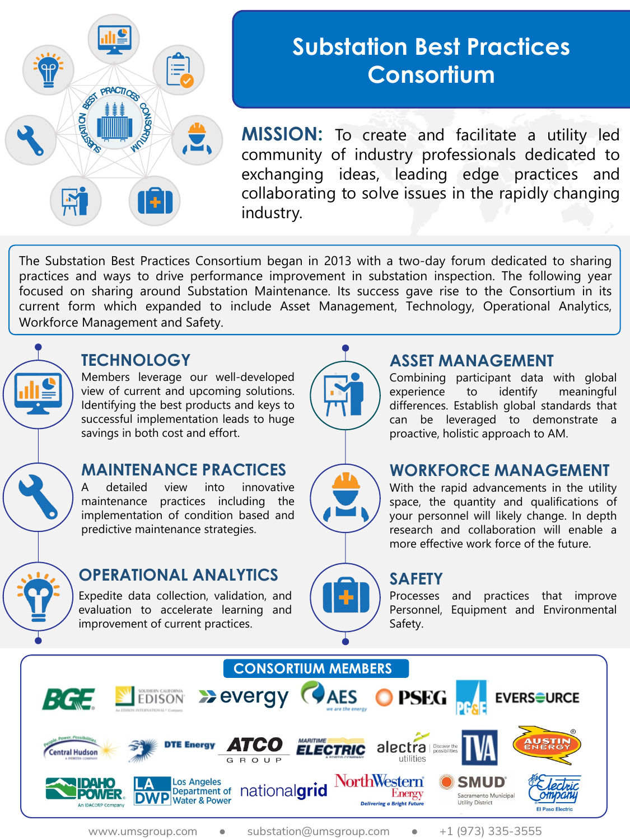

# **Substation Best Practices Consortium**

**MISSION:** To create and facilitate a utility led community of industry professionals dedicated to exchanging ideas, leading edge practices and collaborating to solve issues in the rapidly changing industry.

The Substation Best Practices Consortium began in 2013 with a two-day forum dedicated to sharing practices and ways to drive performance improvement in substation inspection. The following year focused on sharing around Substation Maintenance. Its success gave rise to the Consortium in its current form which expanded to include Asset Management, Technology, Operational Analytics, Workforce Management and Safety.



### **TECHNOLOGY**

Members leverage our well-developed view of current and upcoming solutions. Identifying the best products and keys to successful implementation leads to huge savings in both cost and effort.

### **MAINTENANCE PRACTICES**

A detailed view into innovative maintenance practices including the implementation of condition based and predictive maintenance strategies.



# **OPERATIONAL ANALYTICS**

Expedite data collection, validation, and evaluation to accelerate learning and improvement of current practices.



### **ASSET MANAGEMENT**

Combining participant data with global experience to identify meaningful differences. Establish global standards that can be leveraged to demonstrate a proactive, holistic approach to AM.



### **WORKFORCE MANAGEMENT**

With the rapid advancements in the utility space, the quantity and qualifications of your personnel will likely change. In depth research and collaboration will enable a more effective work force of the future.

### **SAFETY**

Processes and practices that improve Personnel, Equipment and Environmental Safety.



www.umsgroup.com · substation@umsgroup.com · +1 (973) 335-3555